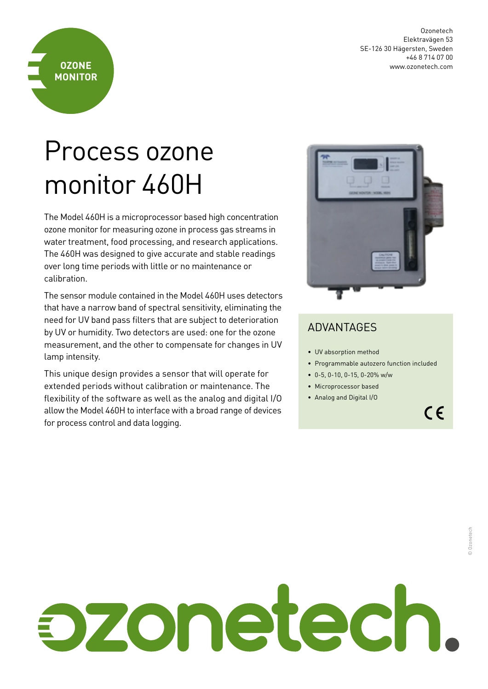Ozonetech Elektravägen 53 SE-126 30 Hägersten, Sweden +46 8 714 07 00 www.ozonetech.com

## Process ozone monitor 460H

**OZONE MONITOR**

The Model 460H is a microprocessor based high concentration ozone monitor for measuring ozone in process gas streams in water treatment, food processing, and research applications. The 460H was designed to give accurate and stable readings over long time periods with little or no maintenance or calibration.

The sensor module contained in the Model 460H uses detectors that have a narrow band of spectral sensitivity, eliminating the need for UV band pass filters that are subject to deterioration by UV or humidity. Two detectors are used: one for the ozone measurement, and the other to compensate for changes in UV lamp intensity.

This unique design provides a sensor that will operate for extended periods without calibration or maintenance. The flexibility of the software as well as the analog and digital I/O allow the Model 460H to interface with a broad range of devices for process control and data logging.



## ADVANTAGES

- UV absorption method
- Programmable autozero function included
- 0-5, 0-10, 0-15, 0-20% w/w
- Microprocessor based
- Analog and Digital I/O

 $C \in$ 

## zonetech.